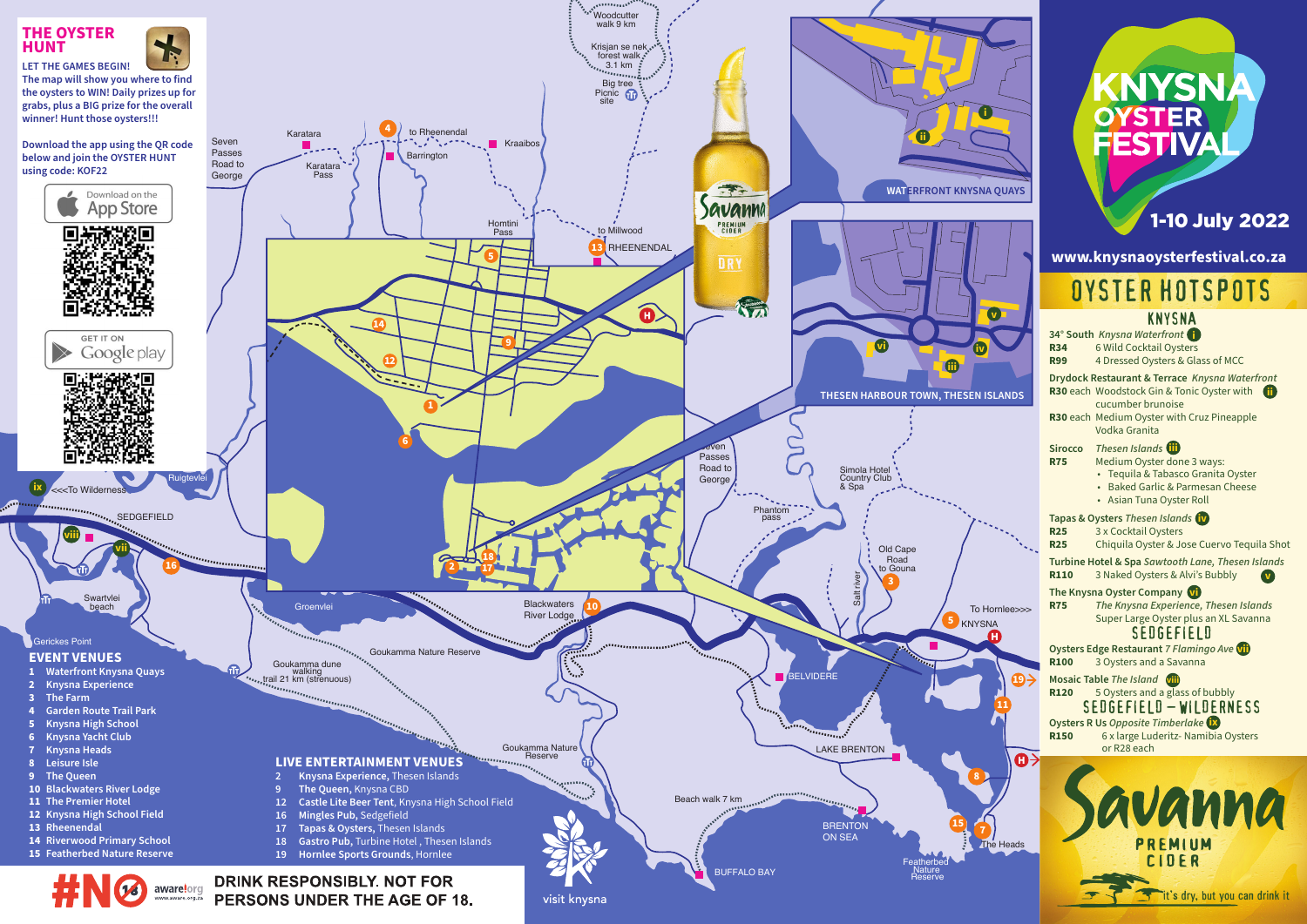